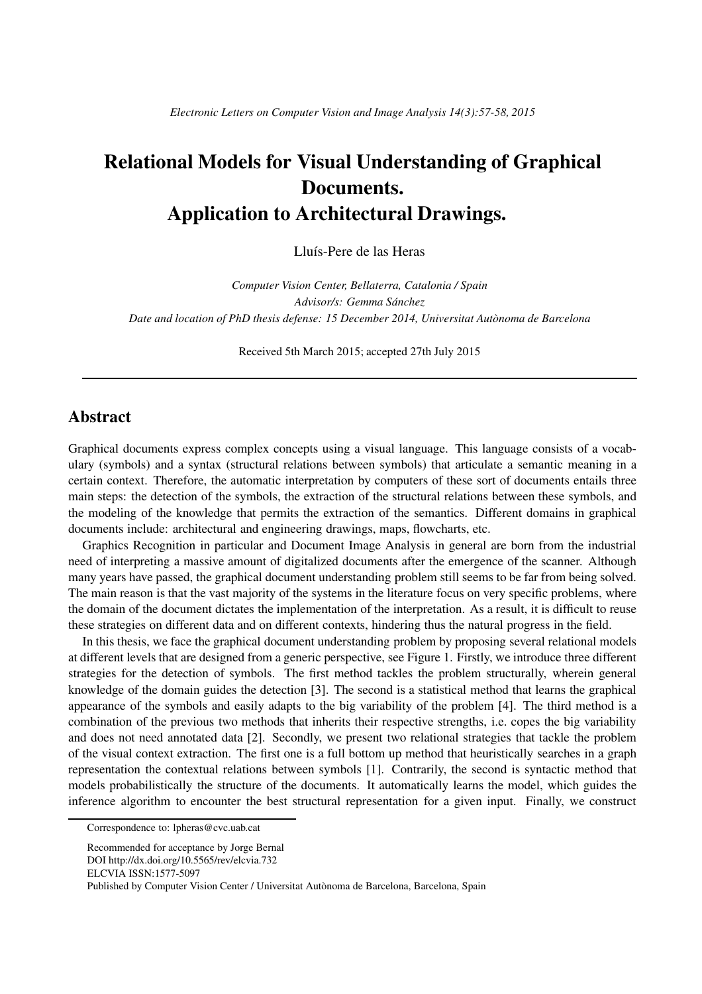## Relational Models for Visual Understanding of Graphical Documents. Application to Architectural Drawings.

Lluís-Pere de las Heras

*Computer Vision Center, Bellaterra, Catalonia / Spain Advisor/s: Gemma Sanchez ´ Date and location of PhD thesis defense: 15 December 2014, Universitat Autonoma de Barcelona `*

Received 5th March 2015; accepted 27th July 2015

## Abstract

Graphical documents express complex concepts using a visual language. This language consists of a vocabulary (symbols) and a syntax (structural relations between symbols) that articulate a semantic meaning in a certain context. Therefore, the automatic interpretation by computers of these sort of documents entails three main steps: the detection of the symbols, the extraction of the structural relations between these symbols, and the modeling of the knowledge that permits the extraction of the semantics. Different domains in graphical documents include: architectural and engineering drawings, maps, flowcharts, etc.

Graphics Recognition in particular and Document Image Analysis in general are born from the industrial need of interpreting a massive amount of digitalized documents after the emergence of the scanner. Although many years have passed, the graphical document understanding problem still seems to be far from being solved. The main reason is that the vast majority of the systems in the literature focus on very specific problems, where the domain of the document dictates the implementation of the interpretation. As a result, it is difficult to reuse these strategies on different data and on different contexts, hindering thus the natural progress in the field.

In this thesis, we face the graphical document understanding problem by proposing several relational models at different levels that are designed from a generic perspective, see Figure 1. Firstly, we introduce three different strategies for the detection of symbols. The first method tackles the problem structurally, wherein general knowledge of the domain guides the detection [3]. The second is a statistical method that learns the graphical appearance of the symbols and easily adapts to the big variability of the problem [4]. The third method is a combination of the previous two methods that inherits their respective strengths, i.e. copes the big variability and does not need annotated data [2]. Secondly, we present two relational strategies that tackle the problem of the visual context extraction. The first one is a full bottom up method that heuristically searches in a graph representation the contextual relations between symbols [1]. Contrarily, the second is syntactic method that models probabilistically the structure of the documents. It automatically learns the model, which guides the inference algorithm to encounter the best structural representation for a given input. Finally, we construct

Correspondence to: lpheras@cvc.uab.cat

Recommended for acceptance by Jorge Bernal DOI http://dx.doi.org/10.5565/rev/elcvia.732 ELCVIA ISSN:1577-5097 Published by Computer Vision Center / Universitat Autònoma de Barcelona, Barcelona, Spain